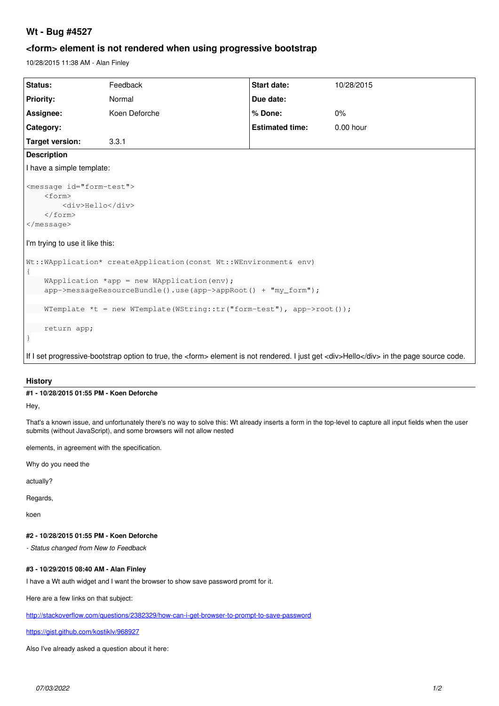# **Wt - Bug #4527**

## **<form> element is not rendered when using progressive bootstrap**

10/28/2015 11:38 AM - Alan Finley

| <b>Status:</b>                                                                                                                                                                                | Feedback      | <b>Start date:</b>     | 10/28/2015  |
|-----------------------------------------------------------------------------------------------------------------------------------------------------------------------------------------------|---------------|------------------------|-------------|
| <b>Priority:</b>                                                                                                                                                                              | Normal        | Due date:              |             |
| Assignee:                                                                                                                                                                                     | Koen Deforche | % Done:                | $0\%$       |
| Category:                                                                                                                                                                                     |               | <b>Estimated time:</b> | $0.00$ hour |
| <b>Target version:</b>                                                                                                                                                                        | 3.3.1         |                        |             |
| <b>Description</b>                                                                                                                                                                            |               |                        |             |
| I have a simple template:                                                                                                                                                                     |               |                        |             |
| <message id="form-test"><br/><math>&lt;</math>form&gt;<br/><div>Hello</div><br/><math>\langle</math>/form&gt;<br/><math>&lt;</math>/message&gt;<br/>I'm trying to use it like this:</message> |               |                        |             |
| $Wt: WApplication * createApplication (const Wt: WEnvironment & env)$                                                                                                                         |               |                        |             |
| WApplication *app = new WApplication (env) ;                                                                                                                                                  |               |                        |             |
| app->messageResourceBundle().use(app->appRoot() + "my_form");                                                                                                                                 |               |                        |             |
| WTemplate *t = new WTemplate (WString::tr("form-test"), app->root());                                                                                                                         |               |                        |             |
| return app;                                                                                                                                                                                   |               |                        |             |
| If I set progressive-bootstrap option to true, the <form> element is not rendered. I just get <div>Hello</div> in the page source code.</form>                                                |               |                        |             |

## **History**

## **#1 - 10/28/2015 01:55 PM - Koen Deforche**

Hey,

That's a known issue, and unfortunately there's no way to solve this: Wt already inserts a form in the top-level to capture all input fields when the user submits (without JavaScript), and some browsers will not allow nested

elements, in agreement with the specification.

Why do you need the

actually?

Regards,

koen

## **#2 - 10/28/2015 01:55 PM - Koen Deforche**

*- Status changed from New to Feedback*

## **#3 - 10/29/2015 08:40 AM - Alan Finley**

I have a Wt auth widget and I want the browser to show save password promt for it.

Here are a few links on that subject:

<http://stackoverflow.com/questions/2382329/how-can-i-get-browser-to-prompt-to-save-password>

<https://gist.github.com/kostiklv/968927>

Also I've already asked a question about it here: